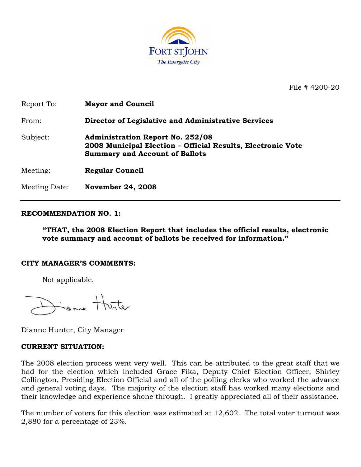

File # 4200-20

| Report To:    | <b>Mayor and Council</b>                                                                                                                        |
|---------------|-------------------------------------------------------------------------------------------------------------------------------------------------|
| From:         | Director of Legislative and Administrative Services                                                                                             |
| Subject:      | <b>Administration Report No. 252/08</b><br>2008 Municipal Election - Official Results, Electronic Vote<br><b>Summary and Account of Ballots</b> |
| Meeting:      | <b>Regular Council</b>                                                                                                                          |
| Meeting Date: | <b>November 24, 2008</b>                                                                                                                        |

#### **RECOMMENDATION NO. 1:**

**"THAT, the 2008 Election Report that includes the official results, electronic vote summary and account of ballots be received for information."** 

#### **CITY MANAGER'S COMMENTS:**

Not applicable.

Same Hunter

Dianne Hunter, City Manager

#### **CURRENT SITUATION:**

The 2008 election process went very well. This can be attributed to the great staff that we had for the election which included Grace Fika, Deputy Chief Election Officer, Shirley Collington, Presiding Election Official and all of the polling clerks who worked the advance and general voting days. The majority of the election staff has worked many elections and their knowledge and experience shone through. I greatly appreciated all of their assistance.

The number of voters for this election was estimated at 12,602. The total voter turnout was 2,880 for a percentage of 23%.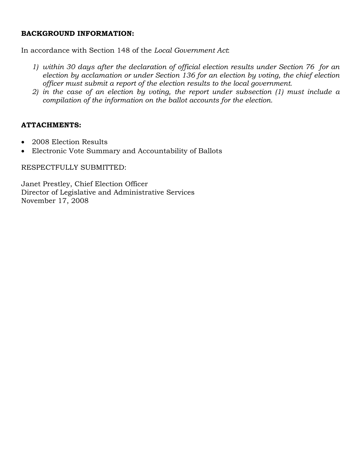#### **BACKGROUND INFORMATION:**

In accordance with Section 148 of the *Local Government Act*:

- *1) within 30 days after the declaration of official election results under Section 76 for an election by acclamation or under Section 136 for an election by voting, the chief election officer must submit a report of the election results to the local government.*
- *2) in the case of an election by voting, the report under subsection (1) must include a compilation of the information on the ballot accounts for the election.*

### **ATTACHMENTS:**

- 2008 Election Results
- Electronic Vote Summary and Accountability of Ballots

### RESPECTFULLY SUBMITTED:

Janet Prestley, Chief Election Officer Director of Legislative and Administrative Services November 17, 2008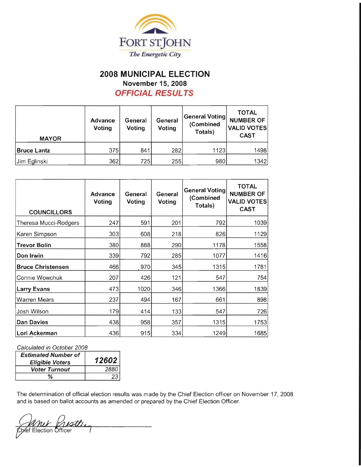

## **2008 MUNICIPAL ELECTION November 15, 2008 OFFICIAL RESULTS**

| <b>MAYOR</b>       | <b>Advance</b><br><b>Voting</b> | General<br>Voting | General<br>Voting | <b>General Voting</b><br>(Combined<br>Totals) | <b>TOTAL</b><br><b>NUMBER OF</b><br><b>VALID VOTES</b><br><b>CAST</b> |
|--------------------|---------------------------------|-------------------|-------------------|-----------------------------------------------|-----------------------------------------------------------------------|
| <b>Bruce Lantz</b> | 375                             | 841               | 282               | 1123                                          | 1498                                                                  |
| Jim Eglinski       | 362                             | 725               | 255               | 980                                           | 1342                                                                  |

| <b>COUNCILLORS</b>       | <b>Advance</b><br>Voting | General<br>Voting | General<br>Voting | <b>General Voting</b><br>(Combined<br>Totals) | <b>TOTAL</b><br><b>NUMBER OF</b><br><b>VALID VOTES</b><br><b>CAST</b> |
|--------------------------|--------------------------|-------------------|-------------------|-----------------------------------------------|-----------------------------------------------------------------------|
| Theresa Mucci-Rodgers    | 247                      | 591               | 201               | 792                                           | 1039                                                                  |
| Karen Simpson            | 303                      | 608               | 218               | 826                                           | 1129                                                                  |
| <b>Trevor Bolin</b>      | 380                      | 888               | 290               | 1178                                          | 1558                                                                  |
| Don Irwin                | 339                      | 792               | 285               | 1077                                          | 1416                                                                  |
| <b>Bruce Christensen</b> | 466                      | 970               | 345               | 1315                                          | 1781                                                                  |
| Connie Wowchuk           | 207                      | 426               | 121               | 547                                           | 754                                                                   |
| Larry Evans              | 473                      | 1020              | 346               | 1366                                          | 1839                                                                  |
| Warren Mears             | 237                      | 494               | 167               | 661                                           | 898                                                                   |
| Josh Wilson              | 179                      | 414               | 133               | 547                                           | 726                                                                   |
| Dan Davies               | 438                      | 958               | 357               | 1315                                          | 1753                                                                  |
| Lori Ackerman            | 436                      | 915               | 334               | 1249                                          | 1685                                                                  |

Calculated in October 2008

| <b>Estimated Number of</b><br><b>Eligible Voters</b> | 12602 |
|------------------------------------------------------|-------|
| <b>Voter Turnout</b>                                 | 2880  |
| %                                                    |       |

The determination of official election results was made by the Chief Election officer on November 17, 2008 and is based on ballot accounts as amended or prepared by the Chief Election Officer.

mur Mestlin<br>Spiet Election Officer